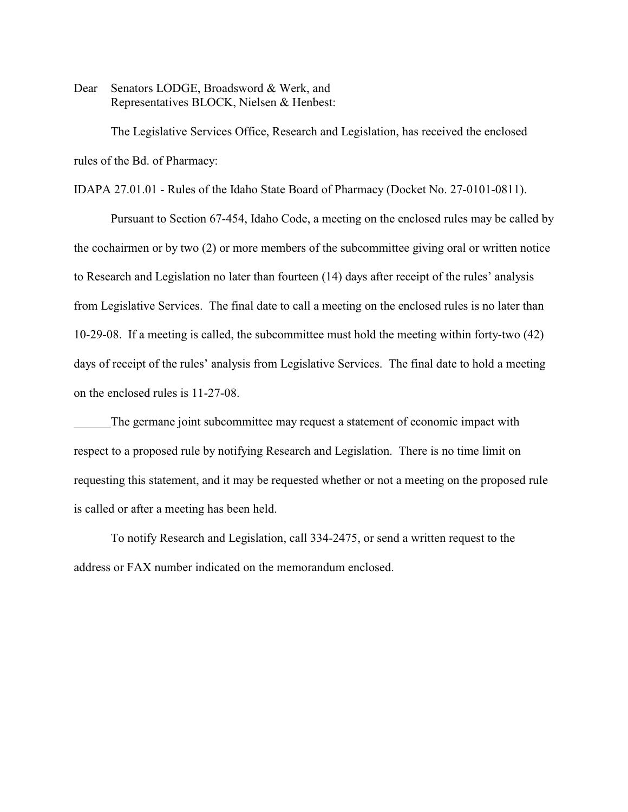Dear Senators LODGE, Broadsword & Werk, and Representatives BLOCK, Nielsen & Henbest:

The Legislative Services Office, Research and Legislation, has received the enclosed rules of the Bd. of Pharmacy:

IDAPA 27.01.01 - Rules of the Idaho State Board of Pharmacy (Docket No. 27-0101-0811).

Pursuant to Section 67-454, Idaho Code, a meeting on the enclosed rules may be called by the cochairmen or by two (2) or more members of the subcommittee giving oral or written notice to Research and Legislation no later than fourteen (14) days after receipt of the rules' analysis from Legislative Services. The final date to call a meeting on the enclosed rules is no later than 10-29-08. If a meeting is called, the subcommittee must hold the meeting within forty-two (42) days of receipt of the rules' analysis from Legislative Services. The final date to hold a meeting on the enclosed rules is 11-27-08.

The germane joint subcommittee may request a statement of economic impact with respect to a proposed rule by notifying Research and Legislation. There is no time limit on requesting this statement, and it may be requested whether or not a meeting on the proposed rule is called or after a meeting has been held.

To notify Research and Legislation, call 334-2475, or send a written request to the address or FAX number indicated on the memorandum enclosed.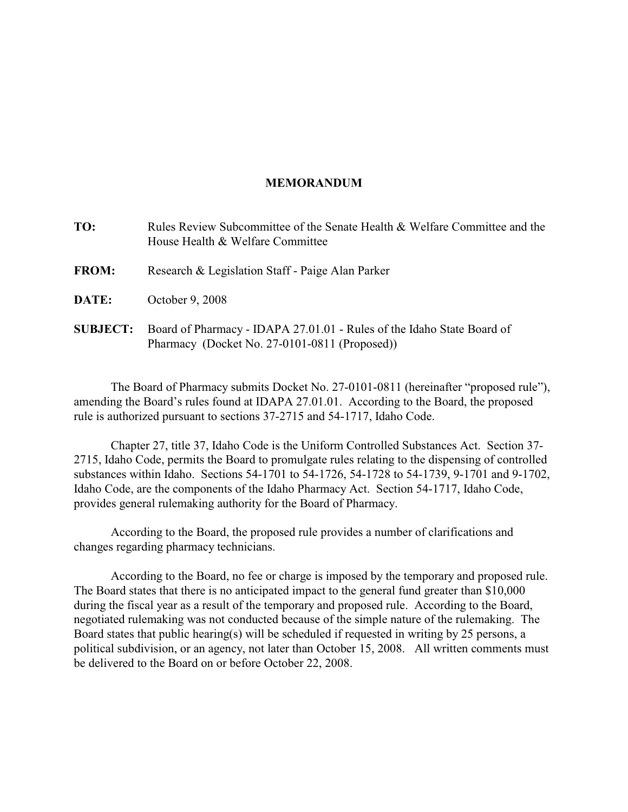#### **MEMORANDUM**

| TO:             | Rules Review Subcommittee of the Senate Health & Welfare Committee and the<br>House Health & Welfare Committee          |
|-----------------|-------------------------------------------------------------------------------------------------------------------------|
| <b>FROM:</b>    | Research & Legislation Staff - Paige Alan Parker                                                                        |
| DATE:           | October 9, 2008                                                                                                         |
| <b>SUBJECT:</b> | Board of Pharmacy - IDAPA 27.01.01 - Rules of the Idaho State Board of<br>Pharmacy (Docket No. 27-0101-0811 (Proposed)) |

The Board of Pharmacy submits Docket No. 27-0101-0811 (hereinafter "proposed rule"), amending the Board's rules found at IDAPA 27.01.01. According to the Board, the proposed rule is authorized pursuant to sections 37-2715 and 54-1717, Idaho Code.

Chapter 27, title 37, Idaho Code is the Uniform Controlled Substances Act. Section 37- 2715, Idaho Code, permits the Board to promulgate rules relating to the dispensing of controlled substances within Idaho. Sections 54-1701 to 54-1726, 54-1728 to 54-1739, 9-1701 and 9-1702, Idaho Code, are the components of the Idaho Pharmacy Act. Section 54-1717, Idaho Code, provides general rulemaking authority for the Board of Pharmacy.

According to the Board, the proposed rule provides a number of clarifications and changes regarding pharmacy technicians.

According to the Board, no fee or charge is imposed by the temporary and proposed rule. The Board states that there is no anticipated impact to the general fund greater than \$10,000 during the fiscal year as a result of the temporary and proposed rule. According to the Board, negotiated rulemaking was not conducted because of the simple nature of the rulemaking. The Board states that public hearing(s) will be scheduled if requested in writing by 25 persons, a political subdivision, or an agency, not later than October 15, 2008. All written comments must be delivered to the Board on or before October 22, 2008.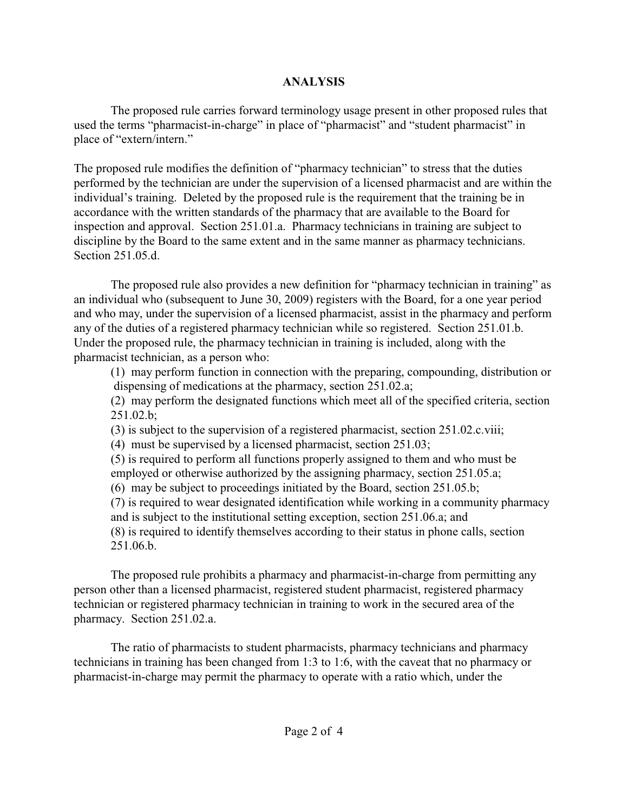# **ANALYSIS**

The proposed rule carries forward terminology usage present in other proposed rules that used the terms "pharmacist-in-charge" in place of "pharmacist" and "student pharmacist" in place of "extern/intern."

The proposed rule modifies the definition of "pharmacy technician" to stress that the duties performed by the technician are under the supervision of a licensed pharmacist and are within the individual's training. Deleted by the proposed rule is the requirement that the training be in accordance with the written standards of the pharmacy that are available to the Board for inspection and approval. Section 251.01.a. Pharmacy technicians in training are subject to discipline by the Board to the same extent and in the same manner as pharmacy technicians. Section 251.05.d.

The proposed rule also provides a new definition for "pharmacy technician in training" as an individual who (subsequent to June 30, 2009) registers with the Board, for a one year period and who may, under the supervision of a licensed pharmacist, assist in the pharmacy and perform any of the duties of a registered pharmacy technician while so registered. Section 251.01.b. Under the proposed rule, the pharmacy technician in training is included, along with the pharmacist technician, as a person who:

(1) may perform function in connection with the preparing, compounding, distribution or dispensing of medications at the pharmacy, section 251.02.a;

(2) may perform the designated functions which meet all of the specified criteria, section 251.02.b;

(3) is subject to the supervision of a registered pharmacist, section 251.02.c.viii;

(4) must be supervised by a licensed pharmacist, section 251.03;

(5) is required to perform all functions properly assigned to them and who must be employed or otherwise authorized by the assigning pharmacy, section 251.05.a;

(6) may be subject to proceedings initiated by the Board, section 251.05.b;

(7) is required to wear designated identification while working in a community pharmacy and is subject to the institutional setting exception, section 251.06.a; and

(8) is required to identify themselves according to their status in phone calls, section 251.06.b.

The proposed rule prohibits a pharmacy and pharmacist-in-charge from permitting any person other than a licensed pharmacist, registered student pharmacist, registered pharmacy technician or registered pharmacy technician in training to work in the secured area of the pharmacy. Section 251.02.a.

The ratio of pharmacists to student pharmacists, pharmacy technicians and pharmacy technicians in training has been changed from 1:3 to 1:6, with the caveat that no pharmacy or pharmacist-in-charge may permit the pharmacy to operate with a ratio which, under the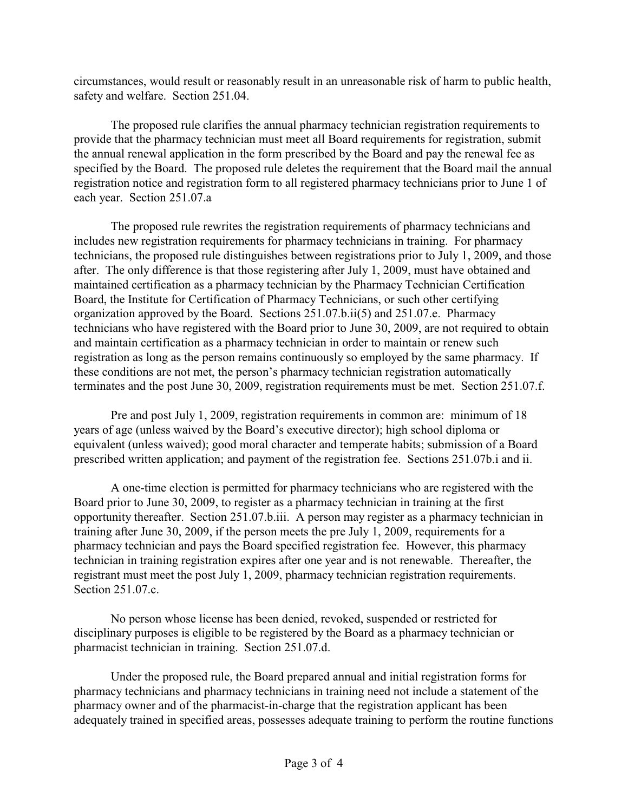circumstances, would result or reasonably result in an unreasonable risk of harm to public health, safety and welfare. Section 251.04.

The proposed rule clarifies the annual pharmacy technician registration requirements to provide that the pharmacy technician must meet all Board requirements for registration, submit the annual renewal application in the form prescribed by the Board and pay the renewal fee as specified by the Board. The proposed rule deletes the requirement that the Board mail the annual registration notice and registration form to all registered pharmacy technicians prior to June 1 of each year. Section 251.07.a

The proposed rule rewrites the registration requirements of pharmacy technicians and includes new registration requirements for pharmacy technicians in training. For pharmacy technicians, the proposed rule distinguishes between registrations prior to July 1, 2009, and those after. The only difference is that those registering after July 1, 2009, must have obtained and maintained certification as a pharmacy technician by the Pharmacy Technician Certification Board, the Institute for Certification of Pharmacy Technicians, or such other certifying organization approved by the Board. Sections 251.07.b.ii(5) and 251.07.e. Pharmacy technicians who have registered with the Board prior to June 30, 2009, are not required to obtain and maintain certification as a pharmacy technician in order to maintain or renew such registration as long as the person remains continuously so employed by the same pharmacy. If these conditions are not met, the person's pharmacy technician registration automatically terminates and the post June 30, 2009, registration requirements must be met. Section 251.07.f.

Pre and post July 1, 2009, registration requirements in common are: minimum of 18 years of age (unless waived by the Board's executive director); high school diploma or equivalent (unless waived); good moral character and temperate habits; submission of a Board prescribed written application; and payment of the registration fee. Sections 251.07b.i and ii.

A one-time election is permitted for pharmacy technicians who are registered with the Board prior to June 30, 2009, to register as a pharmacy technician in training at the first opportunity thereafter. Section 251.07.b.iii. A person may register as a pharmacy technician in training after June 30, 2009, if the person meets the pre July 1, 2009, requirements for a pharmacy technician and pays the Board specified registration fee. However, this pharmacy technician in training registration expires after one year and is not renewable. Thereafter, the registrant must meet the post July 1, 2009, pharmacy technician registration requirements. Section 251.07.c.

No person whose license has been denied, revoked, suspended or restricted for disciplinary purposes is eligible to be registered by the Board as a pharmacy technician or pharmacist technician in training. Section 251.07.d.

Under the proposed rule, the Board prepared annual and initial registration forms for pharmacy technicians and pharmacy technicians in training need not include a statement of the pharmacy owner and of the pharmacist-in-charge that the registration applicant has been adequately trained in specified areas, possesses adequate training to perform the routine functions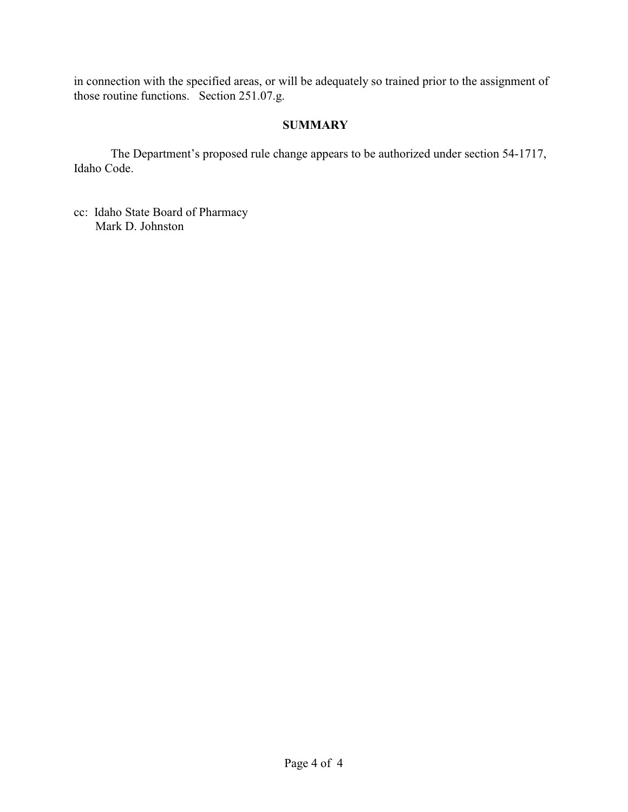in connection with the specified areas, or will be adequately so trained prior to the assignment of those routine functions. Section 251.07.g.

## **SUMMARY**

The Department's proposed rule change appears to be authorized under section 54-1717, Idaho Code.

cc: Idaho State Board of Pharmacy Mark D. Johnston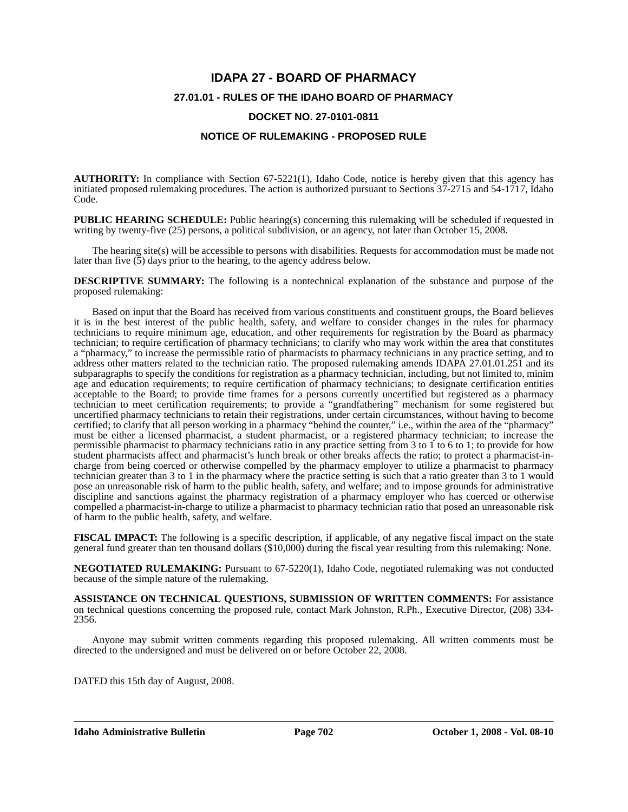# **IDAPA 27 - BOARD OF PHARMACY 27.01.01 - RULES OF THE IDAHO BOARD OF PHARMACY DOCKET NO. 27-0101-0811**

#### **NOTICE OF RULEMAKING - PROPOSED RULE**

**AUTHORITY:** In compliance with Section 67-5221(1), Idaho Code, notice is hereby given that this agency has initiated proposed rulemaking procedures. The action is authorized pursuant to Sections 37-2715 and 54-1717, Idaho Code.

**PUBLIC HEARING SCHEDULE:** Public hearing(s) concerning this rulemaking will be scheduled if requested in writing by twenty-five (25) persons, a political subdivision, or an agency, not later than October 15, 2008.

The hearing site(s) will be accessible to persons with disabilities. Requests for accommodation must be made not later than five (5) days prior to the hearing, to the agency address below.

**DESCRIPTIVE SUMMARY:** The following is a nontechnical explanation of the substance and purpose of the proposed rulemaking:

Based on input that the Board has received from various constituents and constituent groups, the Board believes it is in the best interest of the public health, safety, and welfare to consider changes in the rules for pharmacy technicians to require minimum age, education, and other requirements for registration by the Board as pharmacy technician; to require certification of pharmacy technicians; to clarify who may work within the area that constitutes a "pharmacy," to increase the permissible ratio of pharmacists to pharmacy technicians in any practice setting, and to address other matters related to the technician ratio. The proposed rulemaking amends IDAPA 27.01.01.251 and its subparagraphs to specify the conditions for registration as a pharmacy technician, including, but not limited to, minim age and education requirements; to require certification of pharmacy technicians; to designate certification entities acceptable to the Board; to provide time frames for a persons currently uncertified but registered as a pharmacy technician to meet certification requirements; to provide a "grandfathering" mechanism for some registered but uncertified pharmacy technicians to retain their registrations, under certain circumstances, without having to become certified; to clarify that all person working in a pharmacy "behind the counter," i.e., within the area of the "pharmacy" must be either a licensed pharmacist, a student pharmacist, or a registered pharmacy technician; to increase the permissible pharmacist to pharmacy technicians ratio in any practice setting from 3 to 1 to 6 to 1; to provide for how student pharmacists affect and pharmacist's lunch break or other breaks affects the ratio; to protect a pharmacist-incharge from being coerced or otherwise compelled by the pharmacy employer to utilize a pharmacist to pharmacy technician greater than 3 to 1 in the pharmacy where the practice setting is such that a ratio greater than 3 to 1 would pose an unreasonable risk of harm to the public health, safety, and welfare; and to impose grounds for administrative discipline and sanctions against the pharmacy registration of a pharmacy employer who has coerced or otherwise compelled a pharmacist-in-charge to utilize a pharmacist to pharmacy technician ratio that posed an unreasonable risk of harm to the public health, safety, and welfare.

**FISCAL IMPACT:** The following is a specific description, if applicable, of any negative fiscal impact on the state general fund greater than ten thousand dollars (\$10,000) during the fiscal year resulting from this rulemaking: None.

**NEGOTIATED RULEMAKING:** Pursuant to 67-5220(1), Idaho Code, negotiated rulemaking was not conducted because of the simple nature of the rulemaking.

**ASSISTANCE ON TECHNICAL QUESTIONS, SUBMISSION OF WRITTEN COMMENTS:** For assistance on technical questions concerning the proposed rule, contact Mark Johnston, R.Ph., Executive Director, (208) 334- 2356.

Anyone may submit written comments regarding this proposed rulemaking. All written comments must be directed to the undersigned and must be delivered on or before October 22, 2008.

DATED this 15th day of August, 2008.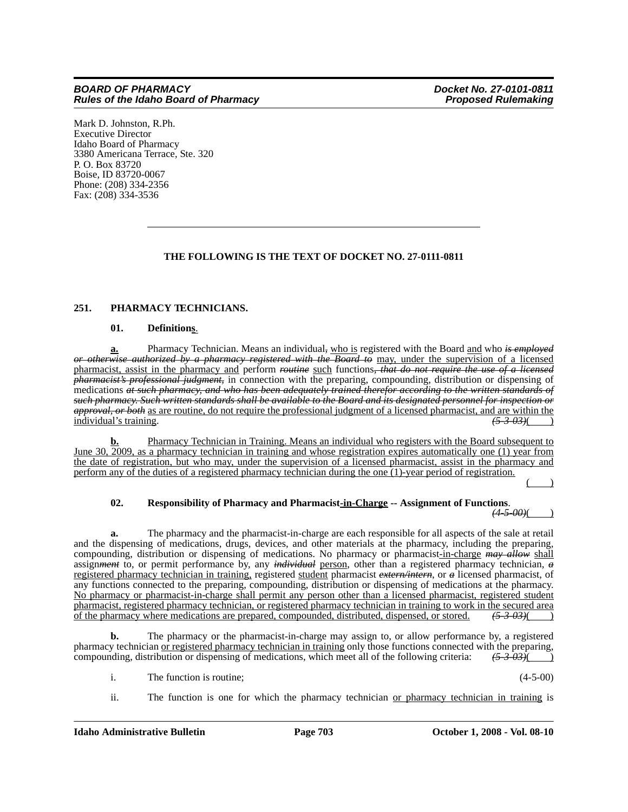Mark D. Johnston, R.Ph. Executive Director Idaho Board of Pharmacy 3380 Americana Terrace, Ste. 320 P. O. Box 83720 Boise, ID 83720-0067 Phone: (208) 334-2356 Fax: (208) 334-3536

### **THE FOLLOWING IS THE TEXT OF DOCKET NO. 27-0111-0811**

#### **251. PHARMACY TECHNICIANS.**

#### **01. Definitions**.

**a.** Pharmacy Technician. Means an individual*,* who is registered with the Board and who *is employed or otherwise authorized by a pharmacy registered with the Board to* may, under the supervision of a licensed pharmacist, assist in the pharmacy and perform *routine* such functions*, that do not require the use of a licensed pharmacist's professional judgment,* in connection with the preparing, compounding, distribution or dispensing of medications *at such pharmacy, and who has been adequately trained therefor according to the written standards of such pharmacy. Such written standards shall be available to the Board and its designated personnel for inspection or approval, or both* as are routine, do not require the professional judgment of a licensed pharmacist, and are within the individual's training. individual's training.

**b.** Pharmacy Technician in Training. Means an individual who registers with the Board subsequent to June 30, 2009, as a pharmacy technician in training and whose registration expires automatically one (1) year from the date of registration, but who may, under the supervision of a licensed pharmacist, assist in the pharmacy and perform any of the duties of a registered pharmacy technician during the one (1)-year period of registration.

 $($  )

# **02. Responsibility of Pharmacy and Pharmacist-in-Charge -- Assignment of Functions**. *(4-5-00)*( )

**a.** The pharmacy and the pharmacist-in-charge are each responsible for all aspects of the sale at retail and the dispensing of medications, drugs, devices, and other materials at the pharmacy, including the preparing, compounding, distribution or dispensing of medications. No pharmacy or pharmacist-in-charge *may allow* shall assignment to, or permit performance by, any *individual* person, other than a registered pharmacy technician, a registered pharmacy technician in training, registered student pharmacist extern/intern, or a licensed pharmacist, of any functions connected to the preparing, compounding, distribution or dispensing of medications at the pharmacy. No pharmacy or pharmacist-in-charge shall permit any person other than a licensed pharmacist, registered student pharmacist, registered pharmacy technician, or registered pharmacy technician in training to work in the secured area<br>of the pharmacy where medications are prepared, compounded, distributed, dispensed, or stored.  $\left(5-3$ of the pharmacy where medications are prepared, compounded, distributed, dispensed, or stored. *(5-3-03)*( )

**b.** The pharmacy or the pharmacist-in-charge may assign to, or allow performance by, a registered pharmacy technician or registered pharmacy technician in training only those functions connected with the preparing, compounding, distribution or dispensing of medications, which meet all of the following criteria: *(5-3-03)*( )

i. The function is routine; (4-5-00)

ii. The function is one for which the pharmacy technician or pharmacy technician in training is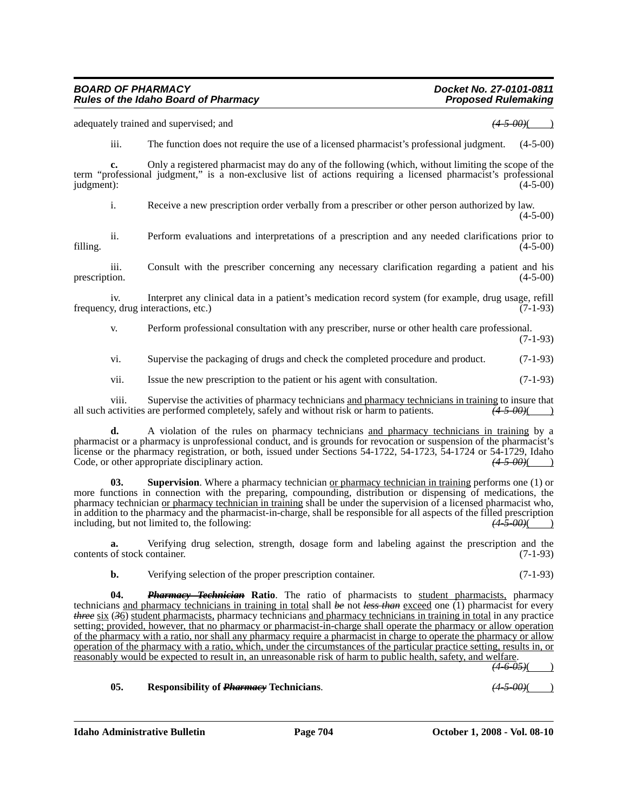*Rules of the Idaho Board of Pharmacy* 

**c.** Only a registered pharmacist may do any of the following (which, without limiting the scope of the term "professional judgment," is a non-exclusive list of actions requiring a licensed pharmacist's professional judgment): (4-5-00)  $j$ udgment):  $(4-5-00)$ 

adequately trained and supervised; and *(4-5-00)*( )

i. Receive a new prescription order verbally from a prescriber or other person authorized by law.  $(4-5-00)$ 

ii. Perform evaluations and interpretations of a prescription and any needed clarifications prior to filling.  $(4-5-00)$ 

iii. Consult with the prescriber concerning any necessary clarification regarding a patient and his prescription.  $(4-5-00)$ 

iv. Interpret any clinical data in a patient's medication record system (for example, drug usage, refill frequency, drug interactions, etc.) (7-1-93)

v. Perform professional consultation with any prescriber, nurse or other health care professional.

(7-1-93)

vi. Supervise the packaging of drugs and check the completed procedure and product. (7-1-93)

vii. Issue the new prescription to the patient or his agent with consultation. (7-1-93)

viii. Supervise the activities of pharmacy technicians and pharmacy technicians in training to insure that activities are performed completely, safely and without risk or harm to patients. all such activities are performed completely, safely and without risk or harm to patients.

**d.** A violation of the rules on pharmacy technicians and pharmacy technicians in training by a pharmacist or a pharmacy is unprofessional conduct, and is grounds for revocation or suspension of the pharmacist's license or the pharmacy registration, or both, issued under Sections 54-1722, 54-1723, 54-1724 or 54-1729, Idaho Code, or other appropriate disciplinary action. Code, or other appropriate disciplinary action.

**03.** Supervision. Where a pharmacy technician or pharmacy technician in training performs one (1) or more functions in connection with the preparing, compounding, distribution or dispensing of medications, the pharmacy technician or pharmacy technician in training shall be under the supervision of a licensed pharmacist who, in addition to the pharmacy and the pharmacist-in-charge, shall be responsible for all aspects of the filled prescription including, but not limited to, the following:  $\frac{(4-5-00)}{(4-5-00)}$ including, but not limited to, the following:

**a.** Verifying drug selection, strength, dosage form and labeling against the prescription and the contents of stock container. (7-1-93)

**b.** Verifying selection of the proper prescription container. (7-1-93)

**04.** *Pharmacy Technician* **Ratio**. The ratio of pharmacists to student pharmacists, pharmacy technicians and pharmacy technicians in training in total shall *be* not *less than* exceed one (1) pharmacist for every *three* six (*3*6) student pharmacists, pharmacy technicians and pharmacy technicians in training in total in any practice setting; provided, however, that no pharmacy or pharmacist-in-charge shall operate the pharmacy or allow operation of the pharmacy with a ratio, nor shall any pharmacy require a pharmacist in charge to operate the pharmacy or allow operation of the pharmacy with a ratio, which, under the circumstances of the particular practice setting, results in, or reasonably would be expected to result in, an unreasonable risk of harm to public health, safety, and welfare.

*(4-6-05)*( )

**05. Responsibility of** *Pharmacy* **Technicians**. *(4-5-00)*( )

# *BOARD OF PHARMACY Docket No. 27-0101-0811*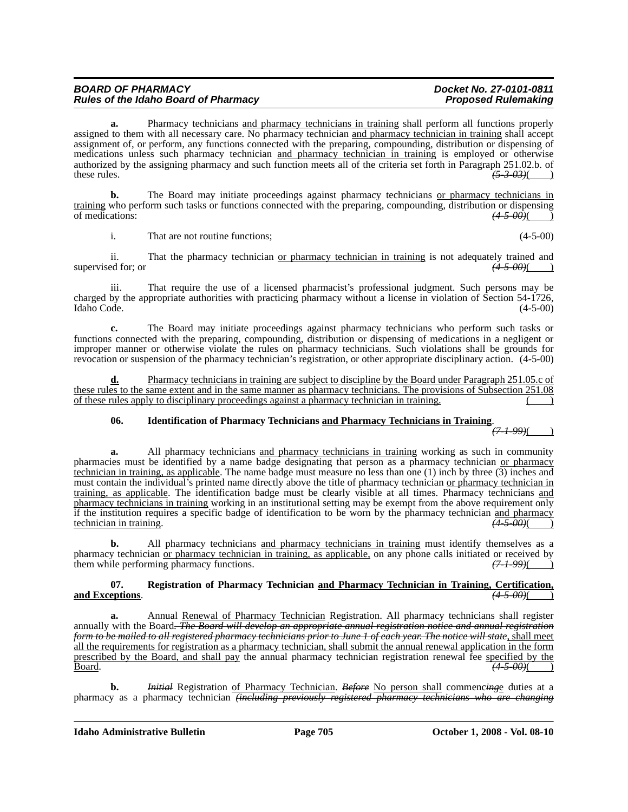| <b>BOARD OF PHARMACY</b>                    | Docket No. 27-0101-0811    |
|---------------------------------------------|----------------------------|
| <b>Rules of the Idaho Board of Pharmacy</b> | <b>Proposed Rulemaking</b> |

**a.** Pharmacy technicians and pharmacy technicians in training shall perform all functions properly assigned to them with all necessary care. No pharmacy technician and pharmacy technician in training shall accept assignment of, or perform, any functions connected with the preparing, compounding, distribution or dispensing of medications unless such pharmacy technician and pharmacy technician in training is employed or otherwise authorized by the assigning pharmacy and such function meets all of the criteria set forth in Paragraph 251.02.b. of these rules. *(5-3-03)*( )

**b.** The Board may initiate proceedings against pharmacy technicians or pharmacy technicians in training who perform such tasks or functions connected with the preparing, compounding, distribution or dispensing of medications:  $\frac{(4-5-00)()}{2}$ of medications: *(4-5-00)*( )

i. That are not routine functions; (4-5-00)

ii. That the pharmacy technician or pharmacy technician in training is not adequately trained and supervised for; or  $(4-5-00)$ 

iii. That require the use of a licensed pharmacist's professional judgment. Such persons may be charged by the appropriate authorities with practicing pharmacy without a license in violation of Section 54-1726, Idaho Code. (4-5-00)

**c.** The Board may initiate proceedings against pharmacy technicians who perform such tasks or functions connected with the preparing, compounding, distribution or dispensing of medications in a negligent or improper manner or otherwise violate the rules on pharmacy technicians. Such violations shall be grounds for revocation or suspension of the pharmacy technician's registration, or other appropriate disciplinary action. (4-5-00)

**d.** Pharmacy technicians in training are subject to discipline by the Board under Paragraph 251.05.c of these rules to the same extent and in the same manner as pharmacy technicians. The provisions of Subsection 251.08 of these rules apply to disciplinary proceedings against a pharmacy technician in training. ( )

#### **06. Identification of Pharmacy Technicians and Pharmacy Technicians in Training**.

*(7-1-99)*( )

**a.** All pharmacy technicians and pharmacy technicians in training working as such in community pharmacies must be identified by a name badge designating that person as a pharmacy technician or pharmacy technician in training, as applicable. The name badge must measure no less than one (1) inch by three (3) inches and must contain the individual's printed name directly above the title of pharmacy technician or pharmacy technician in training, as applicable. The identification badge must be clearly visible at all times. Pharmacy technicians and pharmacy technicians in training working in an institutional setting may be exempt from the above requirement only if the institution requires a specific badge of identification to be worn by the pharmacy technician and pharmacy technician in training.  $\frac{(4-5-00)}{(4-5-00)}$ technician in training. *(4-5-00)*( )

**b.** All pharmacy technicians and pharmacy technicians in training must identify themselves as a pharmacy technician <u>or pharmacy technician in training, as applicable</u>, on any phone calls initiated or received by them while performing pharmacy functions.  $(71.99)$  ( $(71.99)$ ) them while performing pharmacy functions.

#### **07. Registration of Pharmacy Technician and Pharmacy Technician in Training, Certification, and Exceptions**. *(4-5-00)*( )

**a.** Annual Renewal of Pharmacy Technician Registration. All pharmacy technicians shall register annually with the Board*. The Board will develop an appropriate annual registration notice and annual registration form to be mailed to all registered pharmacy technicians prior to June 1 of each year. The notice will state*, shall meet all the requirements for registration as a pharmacy technician, shall submit the annual renewal application in the form prescribed by the Board, and shall pay the annual pharmacy technician registration renewal fee specified by the Board. *(4-5-00)*( )

**b.** *Initial* Registration of Pharmacy Technician. *Before* No person shall commenc*ing*e duties at a pharmacy as a pharmacy technician *(including previously registered pharmacy technicians who are changing*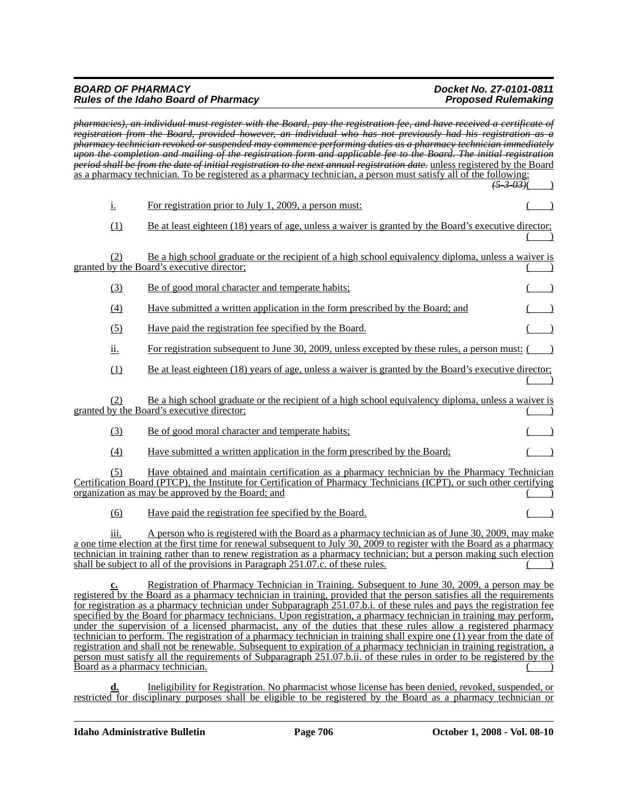#### *BOARD OF PHARMACY Docket No. 27-0101-0811 Rules of the Idaho Board of Pharmacy Proposed Rulemaking*

|                                              | <del>pharmacies), an individual must register with the Board, pay the registration fee, and have received a certificate of</del><br>registration from the Board, provided however, an individual who has not previously had his registration as a<br><del>pharmacy technician revoked or suspended may commence performing duties as a pharmacy technician immediately</del><br><del>upon the completion and mailing of the registration form and applicable fee to the Board. The initial registration</del>                                                                                                                                                                                                                                                                                                                                                                                                                                                         |  |
|----------------------------------------------|-----------------------------------------------------------------------------------------------------------------------------------------------------------------------------------------------------------------------------------------------------------------------------------------------------------------------------------------------------------------------------------------------------------------------------------------------------------------------------------------------------------------------------------------------------------------------------------------------------------------------------------------------------------------------------------------------------------------------------------------------------------------------------------------------------------------------------------------------------------------------------------------------------------------------------------------------------------------------|--|
|                                              | period shall be from the date of initial registration to the next annual registration date, unless registered by the Board<br>as a pharmacy technician. To be registered as a pharmacy technician, a person must satisfy all of the following:<br><del>(5-3-03)</del> (                                                                                                                                                                                                                                                                                                                                                                                                                                                                                                                                                                                                                                                                                               |  |
| $\underline{\mathbf{i}}$ .                   | For registration prior to July 1, 2009, a person must:                                                                                                                                                                                                                                                                                                                                                                                                                                                                                                                                                                                                                                                                                                                                                                                                                                                                                                                |  |
| (1)                                          | Be at least eighteen (18) years of age, unless a waiver is granted by the Board's executive director;                                                                                                                                                                                                                                                                                                                                                                                                                                                                                                                                                                                                                                                                                                                                                                                                                                                                 |  |
| (2)                                          | Be a high school graduate or the recipient of a high school equivalency diploma, unless a waiver is<br>granted by the Board's executive director;                                                                                                                                                                                                                                                                                                                                                                                                                                                                                                                                                                                                                                                                                                                                                                                                                     |  |
| (3)                                          | Be of good moral character and temperate habits;                                                                                                                                                                                                                                                                                                                                                                                                                                                                                                                                                                                                                                                                                                                                                                                                                                                                                                                      |  |
| (4)                                          | Have submitted a written application in the form prescribed by the Board; and                                                                                                                                                                                                                                                                                                                                                                                                                                                                                                                                                                                                                                                                                                                                                                                                                                                                                         |  |
| (5)                                          | Have paid the registration fee specified by the Board.                                                                                                                                                                                                                                                                                                                                                                                                                                                                                                                                                                                                                                                                                                                                                                                                                                                                                                                |  |
| <u>ii.</u>                                   | For registration subsequent to June 30, 2009, unless excepted by these rules, a person must: $($ )                                                                                                                                                                                                                                                                                                                                                                                                                                                                                                                                                                                                                                                                                                                                                                                                                                                                    |  |
| (1)                                          | Be at least eighteen (18) years of age, unless a waiver is granted by the Board's executive director;                                                                                                                                                                                                                                                                                                                                                                                                                                                                                                                                                                                                                                                                                                                                                                                                                                                                 |  |
| (2)                                          | Be a high school graduate or the recipient of a high school equivalency diploma, unless a waiver is<br>granted by the Board's executive director;                                                                                                                                                                                                                                                                                                                                                                                                                                                                                                                                                                                                                                                                                                                                                                                                                     |  |
| (3)                                          | <u>Be of good moral character and temperate habits;</u>                                                                                                                                                                                                                                                                                                                                                                                                                                                                                                                                                                                                                                                                                                                                                                                                                                                                                                               |  |
| $\Delta$                                     | Have submitted a written application in the form prescribed by the Board;                                                                                                                                                                                                                                                                                                                                                                                                                                                                                                                                                                                                                                                                                                                                                                                                                                                                                             |  |
| (5)                                          | Have obtained and maintain certification as a pharmacy technician by the Pharmacy Technician<br>Certification Board (PTCP), the Institute for Certification of Pharmacy Technicians (ICPT), or such other certifying<br>organization as may be approved by the Board; and                                                                                                                                                                                                                                                                                                                                                                                                                                                                                                                                                                                                                                                                                             |  |
| (6)                                          | Have paid the registration fee specified by the Board.                                                                                                                                                                                                                                                                                                                                                                                                                                                                                                                                                                                                                                                                                                                                                                                                                                                                                                                |  |
| 111.                                         | A person who is registered with the Board as a pharmacy technician as of June 30, 2009, may make<br>a one time election at the first time for renewal subsequent to July 30, 2009 to register with the Board as a pharmacy<br>technician in training rather than to renew registration as a pharmacy technician; but a person making such election<br>shall be subject to all of the provisions in Paragraph 251.07.c. of these rules.                                                                                                                                                                                                                                                                                                                                                                                                                                                                                                                                |  |
| <u>c.</u><br>Board as a pharmacy technician. | Registration of Pharmacy Technician in Training. Subsequent to June 30, 2009, a person may be<br>registered by the Board as a pharmacy technician in training, provided that the person satisfies all the requirements<br>for registration as a pharmacy technician under Subparagraph 251.07.b.i. of these rules and pays the registration fee<br>specified by the Board for pharmacy technicians. Upon registration, a pharmacy technician in training may perform,<br>under the supervision of a licensed pharmacist, any of the duties that these rules allow a registered pharmacy<br>technician to perform. The registration of a pharmacy technician in training shall expire one (1) year from the date of<br>registration and shall not be renewable. Subsequent to expiration of a pharmacy technician in training registration, a<br>person must satisfy all the requirements of Subparagraph 251.07.b.ii. of these rules in order to be registered by the |  |

**d.** Ineligibility for Registration. No pharmacist whose license has been denied, revoked, suspended, or restricted for disciplinary purposes shall be eligible to be registered by the Board as a pharmacy technician or